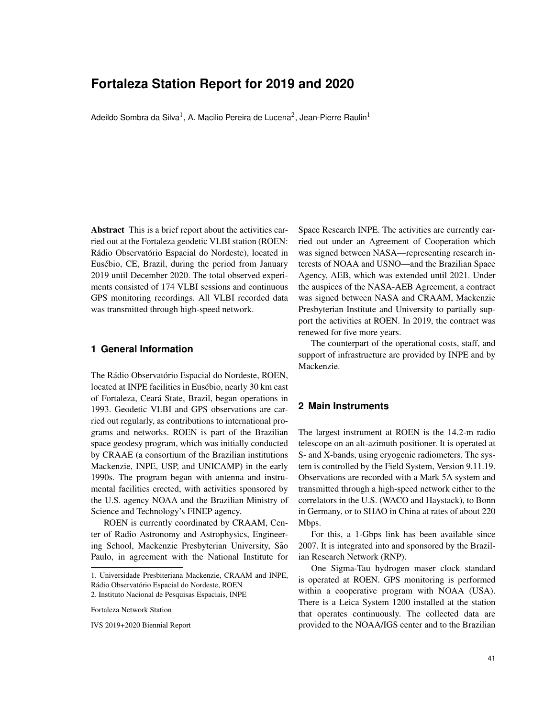# **Fortaleza Station Report for 2019 and 2020**

Adeildo Sombra da Silva $^{\rm l}$ , A. Macilio Pereira de Lucena $^{\rm 2}$ , Jean-Pierre Raulin $^{\rm l}$ 

Abstract This is a brief report about the activities carried out at the Fortaleza geodetic VLBI station (ROEN: Rádio Observatório Espacial do Nordeste), located in Eusébio, CE, Brazil, during the period from January 2019 until December 2020. The total observed experiments consisted of 174 VLBI sessions and continuous GPS monitoring recordings. All VLBI recorded data was transmitted through high-speed network.

### **1 General Information**

The Rádio Observatório Espacial do Nordeste, ROEN, located at INPE facilities in Eusébio, nearly 30 km east of Fortaleza, Ceara State, Brazil, began operations in ´ 1993. Geodetic VLBI and GPS observations are carried out regularly, as contributions to international programs and networks. ROEN is part of the Brazilian space geodesy program, which was initially conducted by CRAAE (a consortium of the Brazilian institutions Mackenzie, INPE, USP, and UNICAMP) in the early 1990s. The program began with antenna and instrumental facilities erected, with activities sponsored by the U.S. agency NOAA and the Brazilian Ministry of Science and Technology's FINEP agency.

ROEN is currently coordinated by CRAAM, Center of Radio Astronomy and Astrophysics, Engineering School, Mackenzie Presbyterian University, São Paulo, in agreement with the National Institute for

2. Instituto Nacional de Pesquisas Espaciais, INPE

Fortaleza Network Station

IVS 2019+2020 Biennial Report

Space Research INPE. The activities are currently carried out under an Agreement of Cooperation which was signed between NASA—representing research interests of NOAA and USNO—and the Brazilian Space Agency, AEB, which was extended until 2021. Under the auspices of the NASA-AEB Agreement, a contract was signed between NASA and CRAAM, Mackenzie Presbyterian Institute and University to partially support the activities at ROEN. In 2019, the contract was renewed for five more years.

The counterpart of the operational costs, staff, and support of infrastructure are provided by INPE and by Mackenzie.

### **2 Main Instruments**

The largest instrument at ROEN is the 14.2-m radio telescope on an alt-azimuth positioner. It is operated at S- and X-bands, using cryogenic radiometers. The system is controlled by the Field System, Version 9.11.19. Observations are recorded with a Mark 5A system and transmitted through a high-speed network either to the correlators in the U.S. (WACO and Haystack), to Bonn in Germany, or to SHAO in China at rates of about 220 Mbps.

For this, a 1-Gbps link has been available since 2007. It is integrated into and sponsored by the Brazilian Research Network (RNP).

One Sigma-Tau hydrogen maser clock standard is operated at ROEN. GPS monitoring is performed within a cooperative program with NOAA (USA). There is a Leica System 1200 installed at the station that operates continuously. The collected data are provided to the NOAA/IGS center and to the Brazilian

<sup>1.</sup> Universidade Presbiteriana Mackenzie, CRAAM and INPE, Rádio Observatório Espacial do Nordeste, ROEN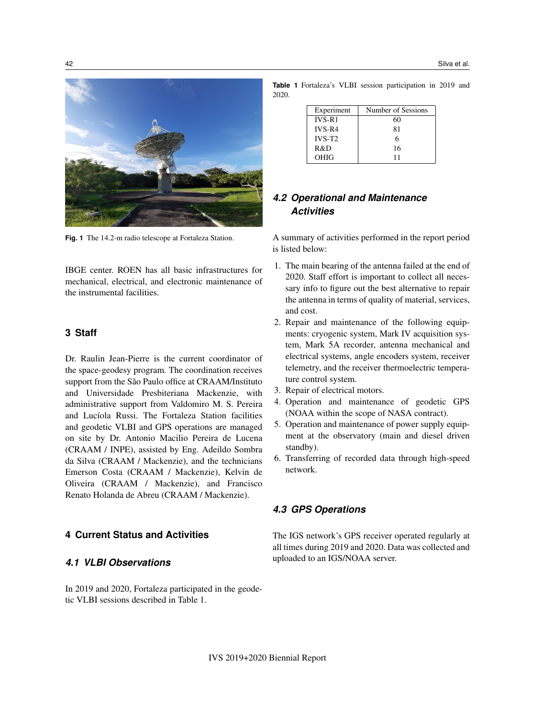

**Fig. 1** The 14.2-m radio telescope at Fortaleza Station.

IBGE center. ROEN has all basic infrastructures for mechanical, electrical, and electronic maintenance of the instrumental facilities.

#### **3 Staff**

Dr. Raulin Jean-Pierre is the current coordinator of the space-geodesy program. The coordination receives support from the São Paulo office at CRAAM/Instituto and Universidade Presbiteriana Mackenzie, with administrative support from Valdomiro M. S. Pereira and Lucíola Russi. The Fortaleza Station facilities and geodetic VLBI and GPS operations are managed on site by Dr. Antonio Macilio Pereira de Lucena (CRAAM / INPE), assisted by Eng. Adeildo Sombra da Silva (CRAAM / Mackenzie), and the technicians Emerson Costa (CRAAM / Mackenzie), Kelvin de Oliveira (CRAAM / Mackenzie), and Francisco Renato Holanda de Abreu (CRAAM / Mackenzie).

## **4 Current Status and Activities**

#### *4.1 VLBI Observations*

In 2019 and 2020, Fortaleza participated in the geodetic VLBI sessions described in Table 1.

**Table 1** Fortaleza's VLBI session participation in 2019 and 2020.

| Experiment | Number of Sessions |
|------------|--------------------|
| $IVS-R1$   | 60                 |
| $IVS-R4$   | 81                 |
| $IVS-T2$   |                    |
| R&D        | 16                 |
| OHIG       |                    |

## *4.2 Operational and Maintenance Activities*

A summary of activities performed in the report period is listed below:

- 1. The main bearing of the antenna failed at the end of 2020. Staff effort is important to collect all necessary info to figure out the best alternative to repair the antenna in terms of quality of material, services, and cost.
- 2. Repair and maintenance of the following equipments: cryogenic system, Mark IV acquisition system, Mark 5A recorder, antenna mechanical and electrical systems, angle encoders system, receiver telemetry, and the receiver thermoelectric temperature control system.
- 3. Repair of electrical motors.
- 4. Operation and maintenance of geodetic GPS (NOAA within the scope of NASA contract).
- 5. Operation and maintenance of power supply equipment at the observatory (main and diesel driven standby).
- 6. Transferring of recorded data through high-speed network.

## *4.3 GPS Operations*

The IGS network's GPS receiver operated regularly at all times during 2019 and 2020. Data was collected and uploaded to an IGS/NOAA server.